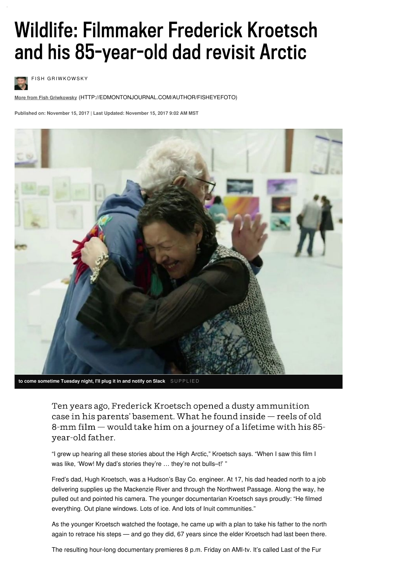# Wildlife: Filmmaker Frederick Kroetsch and his 85-year-old dad revisit Arctic



**FISH GRIWKOWSKY** 

**More from Fish Griwkowsky** [\(HTTP://EDMONTONJOURNAL.COM/AUTHOR/FISHEYEFOTO\)](http://edmontonjournal.com/author/fisheyefoto)

**Published on: November 15, 2017 | Last Updated: November 15, 2017 9:02 AM MST**



**to come sometime Tuesday night, I'll plug it in and notify on Slack** S U P P L I E D

Ten years ago, Frederick Kroetsch opened a dusty ammunition case in his parents' basement. What he found inside - reels of old 8-mm film – would take him on a journey of a lifetime with his 85year-old father.

"I grew up hearing all these stories about the High Arctic," Kroetsch says. "When I saw this film I was like, 'Wow! My dad's stories they're ... they're not bulls-t!' "

Fred's dad, Hugh Kroetsch, was a Hudson's Bay Co. engineer. At 17, his dad headed north to a job delivering supplies up the Mackenzie River and through the Northwest Passage. Along the way, he pulled out and pointed his camera. The younger documentarian Kroetsch says proudly: "He filmed everything. Out plane windows. Lots of ice. And lots of Inuit communities."

As the younger Kroetsch watched the footage, he came up with a plan to take his father to the north again to retrace his steps — and go they did, 67 years since the elder Kroetsch had last been there.

The resulting hour-long documentary premieres 8 p.m. Friday on AMI-tv. It's called Last of the Fur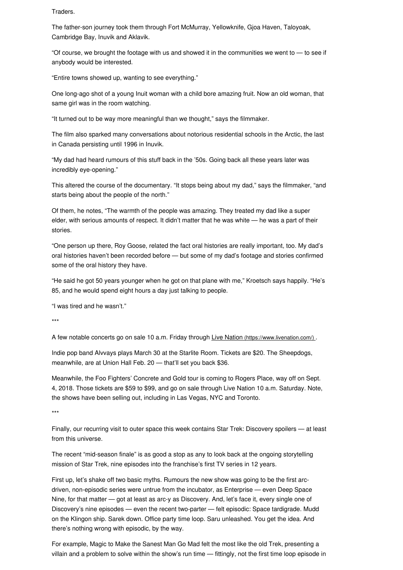Traders.

The father-son journey took them through Fort McMurray, Yellowknife, Gjoa Haven, Taloyoak, Cambridge Bay, Inuvik and Aklavik.

"Of course, we brought the footage with us and showed it in the communities we went to  $-$  to see if anybody would be interested.

"Entire towns showed up, wanting to see everything."

One long-ago shot of a young Inuit woman with a child bore amazing fruit. Now an old woman, that same girl was in the room watching.

"It turned out to be way more meaningful than we thought," says the filmmaker.

The film also sparked many conversations about notorious residential schools in the Arctic, the last in Canada persisting until 1996 in Inuvik.

"My dad had heard rumours of this stuff back in the '50s. Going back all these years later was incredibly eye-opening."

This altered the course of the documentary. "It stops being about my dad," says the filmmaker, "and starts being about the people of the north."

Of them, he notes, "The warmth of the people was amazing. They treated my dad like a super elder, with serious amounts of respect. It didn't matter that he was white — he was a part of their stories.

"One person up there, Roy Goose, related the fact oral histories are really important, too. My dad's oral histories haven't been recorded before — but some of my dad's footage and stories confirmed some of the oral history they have.

"He said he got 50 years younger when he got on that plane with me," Kroetsch says happily. "He's 85, and he would spend eight hours a day just talking to people.

"I was tired and he wasn't."

\*\*\*

A few notable concerts go on sale 10 a.m. Friday through Live Nation [\(https://www.livenation.com/\)](https://www.livenation.com/) .

Indie pop band Alvvays plays March 30 at the Starlite Room. Tickets are \$20. The Sheepdogs, meanwhile, are at Union Hall Feb. 20 — that'll set you back \$36.

Meanwhile, the Foo Fighters' Concrete and Gold tour is coming to Rogers Place, way off on Sept. 4, 2018. Those tickets are \$59 to \$99, and go on sale through Live Nation 10 a.m. Saturday. Note, the shows have been selling out, including in Las Vegas, NYC and Toronto.

\*\*\*

Finally, our recurring visit to outer space this week contains Star Trek: Discovery spoilers — at least from this universe.

The recent "mid-season finale" is as good a stop as any to look back at the ongoing storytelling mission of Star Trek, nine episodes into the franchise's first TV series in 12 years.

First up, let's shake off two basic myths. Rumours the new show was going to be the first arcdriven, non-episodic series were untrue from the incubator, as Enterprise — even Deep Space Nine, for that matter — got at least as arc-y as Discovery. And, let's face it, every single one of Discovery's nine episodes — even the recent two-parter — felt episodic: Space tardigrade. Mudd on the Klingon ship. Sarek down. Office party time loop. Saru unleashed. You get the idea. And there's nothing wrong with episodic, by the way.

For example, Magic to Make the Sanest Man Go Mad felt the most like the old Trek, presenting a villain and a problem to solve within the show's run time — fittingly, not the first time loop episode in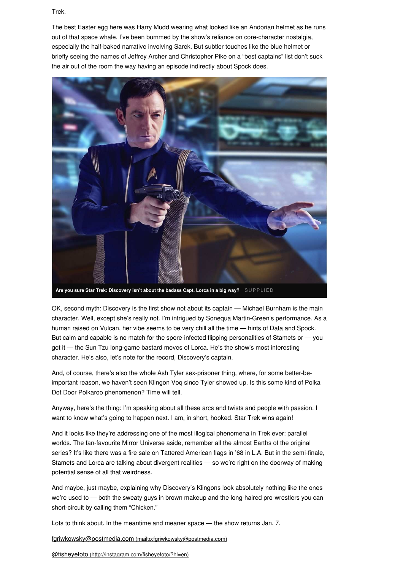Trek.

The best Easter egg here was Harry Mudd wearing what looked like an Andorian helmet as he runs out of that space whale. I've been bummed by the show's reliance on core-character nostalgia, especially the half-baked narrative involving Sarek. But subtler touches like the blue helmet or briefly seeing the names of Jeffrey Archer and Christopher Pike on a "best captains" list don't suck the air out of the room the way having an episode indirectly about Spock does.



**Are you sure Star Trek: Discovery isn't about the badass Capt. Lorca in a big way?** S U P P L I E D

OK, second myth: Discovery is the first show not about its captain — Michael Burnham is the main character. Well, except she's really not. I'm intrigued by Sonequa Martin-Green's performance. As a human raised on Vulcan, her vibe seems to be very chill all the time — hints of Data and Spock. But calm and capable is no match for the spore-infected flipping personalities of Stamets or — you got it — the Sun Tzu long-game bastard moves of Lorca. He's the show's most interesting character. He's also, let's note for the record, Discovery's captain.

And, of course, there's also the whole Ash Tyler sex-prisoner thing, where, for some better-beimportant reason, we haven't seen Klingon Voq since Tyler showed up. Is this some kind of Polka Dot Door Polkaroo phenomenon? Time will tell.

Anyway, here's the thing: I'm speaking about all these arcs and twists and people with passion. I want to know what's going to happen next. I am, in short, hooked. Star Trek wins again!

And it looks like they're addressing one of the most illogical phenomena in Trek ever: parallel worlds. The fan-favourite Mirror Universe aside, remember all the almost Earths of the original series? It's like there was a fire sale on Tattered American flags in '68 in L.A. But in the semi-finale, Stamets and Lorca are talking about divergent realities — so we're right on the doorway of making potential sense of all that weirdness.

And maybe, just maybe, explaining why Discovery's Klingons look absolutely nothing like the ones we're used to — both the sweaty guys in brown makeup and the long-haired pro-wrestlers you can short-circuit by calling them "Chicken."

Lots to think about. In the meantime and meaner space — the show returns Jan. 7.

[fgriwkowsky@postmedia.com](mailto:fgriwkowsky@postmedia.com) (mailto:fgriwkowsky@postmedia.com)

@fisheyefoto [\(http://instagram.com/fisheyefoto/?hl=en\)](http://instagram.com/fisheyefoto/?hl=en)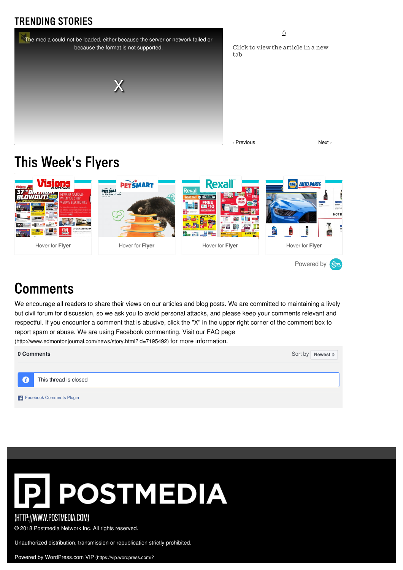#### **TRENDING STORIES**



 $\Omega$ 

Click to view the article in a new tab

‹ Previous Next ›

## This Week's Flyers



### **Comments**

We encourage all readers to share their views on our articles and blog posts. We are committed to maintaining a lively but civil forum for discussion, so we ask you to avoid personal attacks, and please keep your comments relevant and respectful. If you encounter a comment that is abusive, click the "X" in the upper right corner of the comment box to report spam or abuse. We are using Facebook commenting. Visit our FAQ page

[\(http://www.edmontonjournal.com/news/story.html?id=7195492\)](http://www.edmontonjournal.com/news/story.html?id=7195492) for more information.

| 0 Comments               | Sort by Newest $\triangleq$ |
|--------------------------|-----------------------------|
|                          |                             |
| This thread is closed    |                             |
| Facebook Comments Plugin |                             |



#### (HTTP://WWW.POSTMEDIA.COM)

© 2018 Postmedia Network Inc. All rights reserved.

Unauthorized distribution, transmission or republication strictly prohibited.